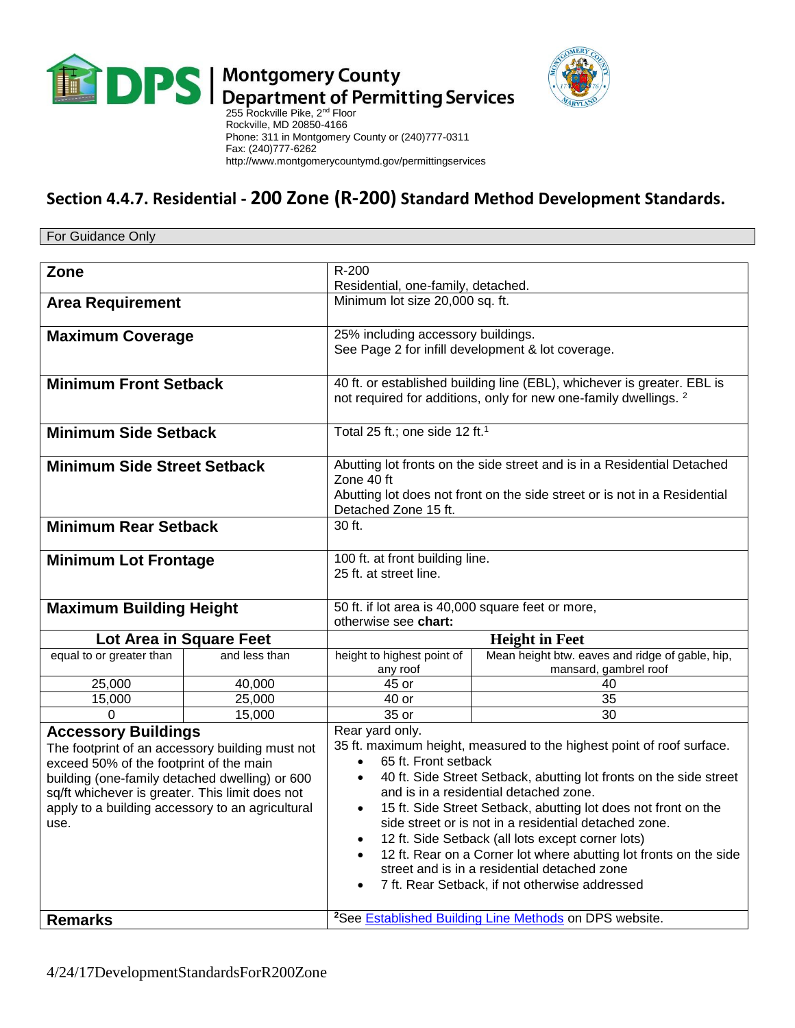



 $\blacksquare$  Department of Permitting Services<br>255 Rockville Pike, 2<sup>nd</sup> Floor Rockville, MD 20850-4166 Phone: 311 in Montgomery County or (240)777-0311 Fax: (240)777-6262 http://www.montgomerycountymd.gov/permittingservices

## **Section 4.4.7. Residential - 200 Zone (R-200) Standard Method Development Standards.**

For Guidance Only

| Zone                                                                                              |               | $R - 200$                                                                                                                                              |                                                                          |
|---------------------------------------------------------------------------------------------------|---------------|--------------------------------------------------------------------------------------------------------------------------------------------------------|--------------------------------------------------------------------------|
|                                                                                                   |               | Residential, one-family, detached.                                                                                                                     |                                                                          |
| <b>Area Requirement</b>                                                                           |               | Minimum lot size 20,000 sq. ft.                                                                                                                        |                                                                          |
|                                                                                                   |               |                                                                                                                                                        |                                                                          |
| <b>Maximum Coverage</b>                                                                           |               | 25% including accessory buildings.<br>See Page 2 for infill development & lot coverage.                                                                |                                                                          |
|                                                                                                   |               |                                                                                                                                                        |                                                                          |
| <b>Minimum Front Setback</b>                                                                      |               | 40 ft. or established building line (EBL), whichever is greater. EBL is<br>not required for additions, only for new one-family dwellings. <sup>2</sup> |                                                                          |
|                                                                                                   |               |                                                                                                                                                        |                                                                          |
| <b>Minimum Side Setback</b>                                                                       |               | Total 25 ft.; one side 12 ft. <sup>1</sup>                                                                                                             |                                                                          |
| <b>Minimum Side Street Setback</b>                                                                |               | Abutting lot fronts on the side street and is in a Residential Detached                                                                                |                                                                          |
|                                                                                                   |               | Zone 40 ft                                                                                                                                             |                                                                          |
|                                                                                                   |               | Abutting lot does not front on the side street or is not in a Residential                                                                              |                                                                          |
|                                                                                                   |               | Detached Zone 15 ft.                                                                                                                                   |                                                                          |
| <b>Minimum Rear Setback</b>                                                                       |               | 30 ft.                                                                                                                                                 |                                                                          |
| <b>Minimum Lot Frontage</b>                                                                       |               | 100 ft. at front building line.                                                                                                                        |                                                                          |
|                                                                                                   |               | 25 ft. at street line.                                                                                                                                 |                                                                          |
|                                                                                                   |               |                                                                                                                                                        |                                                                          |
| <b>Maximum Building Height</b>                                                                    |               | 50 ft. if lot area is 40,000 square feet or more,                                                                                                      |                                                                          |
|                                                                                                   |               | otherwise see chart:                                                                                                                                   |                                                                          |
| Lot Area in Square Feet                                                                           |               | <b>Height in Feet</b>                                                                                                                                  |                                                                          |
| equal to or greater than                                                                          | and less than | height to highest point of<br>any roof                                                                                                                 | Mean height btw. eaves and ridge of gable, hip,<br>mansard, gambrel roof |
| 25,000                                                                                            | 40,000        | 45 or                                                                                                                                                  | 40                                                                       |
| 15,000                                                                                            | 25,000        | 40 or                                                                                                                                                  | 35                                                                       |
| $\Omega$                                                                                          | 15,000        | 35 or                                                                                                                                                  | $\overline{30}$                                                          |
| <b>Accessory Buildings</b>                                                                        |               | Rear yard only.                                                                                                                                        |                                                                          |
| The footprint of an accessory building must not                                                   |               | 35 ft. maximum height, measured to the highest point of roof surface.<br>65 ft. Front setback<br>$\bullet$                                             |                                                                          |
| exceed 50% of the footprint of the main                                                           |               | 40 ft. Side Street Setback, abutting lot fronts on the side street<br>$\bullet$                                                                        |                                                                          |
| building (one-family detached dwelling) or 600<br>sq/ft whichever is greater. This limit does not |               | and is in a residential detached zone.                                                                                                                 |                                                                          |
| apply to a building accessory to an agricultural                                                  |               | 15 ft. Side Street Setback, abutting lot does not front on the<br>$\bullet$                                                                            |                                                                          |
| use.                                                                                              |               | side street or is not in a residential detached zone.                                                                                                  |                                                                          |
|                                                                                                   |               | 12 ft. Side Setback (all lots except corner lots)<br>$\bullet$                                                                                         |                                                                          |
|                                                                                                   |               | 12 ft. Rear on a Corner lot where abutting lot fronts on the side                                                                                      |                                                                          |
|                                                                                                   |               | street and is in a residential detached zone                                                                                                           |                                                                          |
|                                                                                                   |               |                                                                                                                                                        | 7 ft. Rear Setback, if not otherwise addressed                           |
|                                                                                                   |               |                                                                                                                                                        |                                                                          |
| <b>Remarks</b>                                                                                    |               | <sup>2</sup> See Established Building Line Methods on DPS website.                                                                                     |                                                                          |